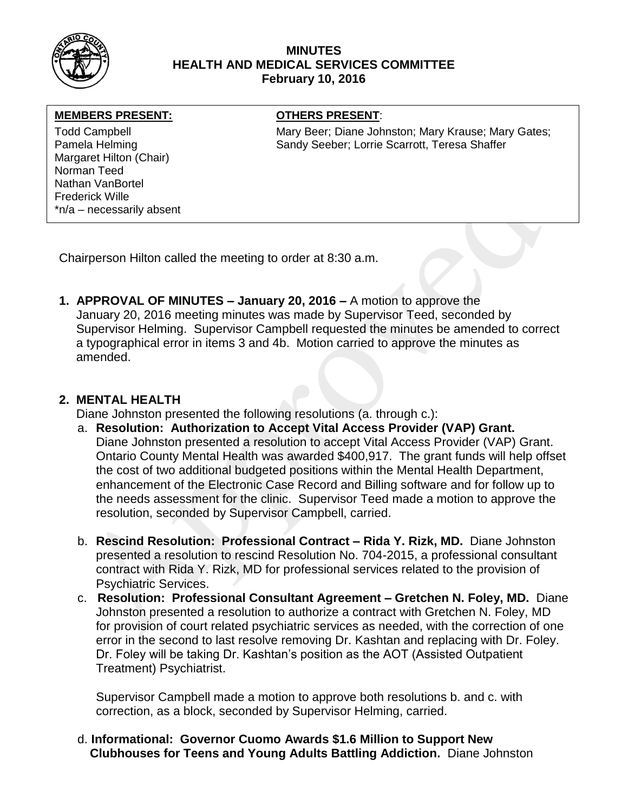

### **MINUTES HEALTH AND MEDICAL SERVICES COMMITTEE February 10, 2016**

#### **MEMBERS PRESENT:**

Margaret Hilton (Chair) Norman Teed Nathan VanBortel Frederick Wille \*n/a – necessarily absent

## **OTHERS PRESENT:**

Todd Campbell Mary Beer; Diane Johnston; Mary Krause; Mary Gates; Pamela Helming The Sandy Seeber; Lorrie Scarrott, Teresa Shaffer

Chairperson Hilton called the meeting to order at 8:30 a.m.

**1. APPROVAL OF MINUTES – January 20, 2016 –** A motion to approve the January 20, 2016 meeting minutes was made by Supervisor Teed, seconded by Supervisor Helming. Supervisor Campbell requested the minutes be amended to correct a typographical error in items 3 and 4b. Motion carried to approve the minutes as amended.

# **2. MENTAL HEALTH**

Diane Johnston presented the following resolutions (a. through c.):

- a. **Resolution: Authorization to Accept Vital Access Provider (VAP) Grant.** Diane Johnston presented a resolution to accept Vital Access Provider (VAP) Grant. Ontario County Mental Health was awarded \$400,917. The grant funds will help offset the cost of two additional budgeted positions within the Mental Health Department, enhancement of the Electronic Case Record and Billing software and for follow up to the needs assessment for the clinic. Supervisor Teed made a motion to approve the resolution, seconded by Supervisor Campbell, carried.
- b. **Rescind Resolution: Professional Contract – Rida Y. Rizk, MD.** Diane Johnston presented a resolution to rescind Resolution No. 704-2015, a professional consultant contract with Rida Y. Rizk, MD for professional services related to the provision of Psychiatric Services.
- c. **Resolution: Professional Consultant Agreement – Gretchen N. Foley, MD.** Diane Johnston presented a resolution to authorize a contract with Gretchen N. Foley, MD for provision of court related psychiatric services as needed, with the correction of one error in the second to last resolve removing Dr. Kashtan and replacing with Dr. Foley. Dr. Foley will be taking Dr. Kashtan's position as the AOT (Assisted Outpatient Treatment) Psychiatrist.

Supervisor Campbell made a motion to approve both resolutions b. and c. with correction, as a block, seconded by Supervisor Helming, carried.

d. **Informational: Governor Cuomo Awards \$1.6 Million to Support New Clubhouses for Teens and Young Adults Battling Addiction.** Diane Johnston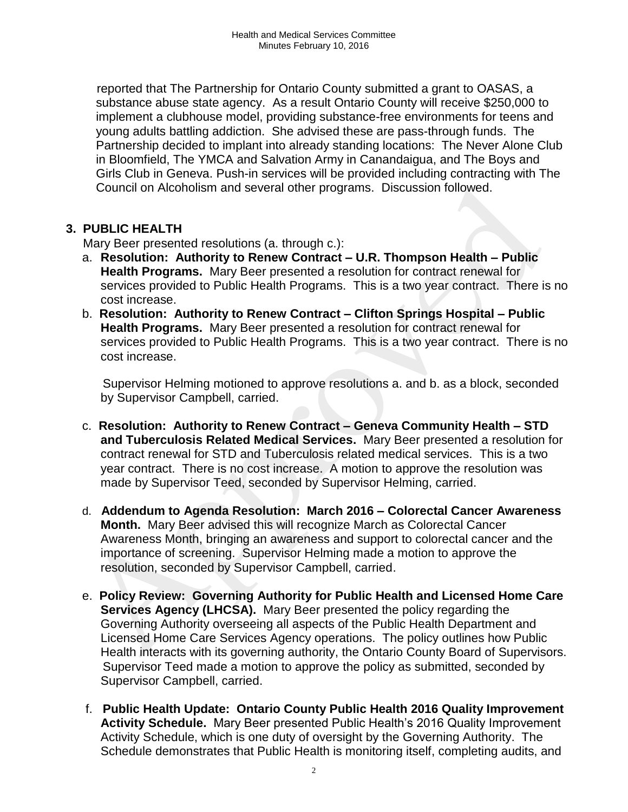reported that The Partnership for Ontario County submitted a grant to OASAS, a substance abuse state agency. As a result Ontario County will receive \$250,000 to implement a clubhouse model, providing substance-free environments for teens and young adults battling addiction. She advised these are pass-through funds. The Partnership decided to implant into already standing locations: The Never Alone Club in Bloomfield, The YMCA and Salvation Army in Canandaigua, and The Boys and Girls Club in Geneva. Push-in services will be provided including contracting with The Council on Alcoholism and several other programs. Discussion followed.

# **3. PUBLIC HEALTH**

Mary Beer presented resolutions (a. through c.):

- a. **Resolution: Authority to Renew Contract – U.R. Thompson Health – Public Health Programs.** Mary Beer presented a resolution for contract renewal for services provided to Public Health Programs. This is a two year contract. There is no cost increase.
- b. **Resolution: Authority to Renew Contract – Clifton Springs Hospital – Public Health Programs.** Mary Beer presented a resolution for contract renewal for services provided to Public Health Programs. This is a two year contract. There is no cost increase.

 Supervisor Helming motioned to approve resolutions a. and b. as a block, seconded by Supervisor Campbell, carried.

- c. **Resolution: Authority to Renew Contract – Geneva Community Health – STD and Tuberculosis Related Medical Services.** Mary Beer presented a resolution for contract renewal for STD and Tuberculosis related medical services. This is a two year contract. There is no cost increase. A motion to approve the resolution was made by Supervisor Teed, seconded by Supervisor Helming, carried.
- d. **Addendum to Agenda Resolution: March 2016 – Colorectal Cancer Awareness Month.** Mary Beer advised this will recognize March as Colorectal Cancer Awareness Month, bringing an awareness and support to colorectal cancer and the importance of screening. Supervisor Helming made a motion to approve the resolution, seconded by Supervisor Campbell, carried.
- e. **Policy Review: Governing Authority for Public Health and Licensed Home Care Services Agency (LHCSA).** Mary Beer presented the policy regarding the Governing Authority overseeing all aspects of the Public Health Department and Licensed Home Care Services Agency operations. The policy outlines how Public Health interacts with its governing authority, the Ontario County Board of Supervisors. Supervisor Teed made a motion to approve the policy as submitted, seconded by Supervisor Campbell, carried.
- f. **Public Health Update: Ontario County Public Health 2016 Quality Improvement Activity Schedule.** Mary Beer presented Public Health's 2016 Quality Improvement Activity Schedule, which is one duty of oversight by the Governing Authority. The Schedule demonstrates that Public Health is monitoring itself, completing audits, and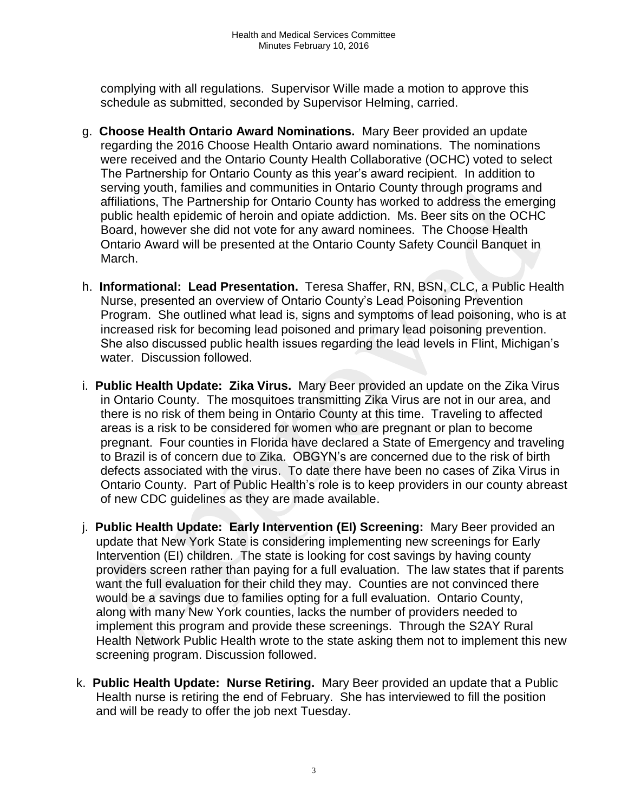complying with all regulations. Supervisor Wille made a motion to approve this schedule as submitted, seconded by Supervisor Helming, carried.

- g. **Choose Health Ontario Award Nominations.** Mary Beer provided an update regarding the 2016 Choose Health Ontario award nominations. The nominations were received and the Ontario County Health Collaborative (OCHC) voted to select The Partnership for Ontario County as this year's award recipient. In addition to serving youth, families and communities in Ontario County through programs and affiliations, The Partnership for Ontario County has worked to address the emerging public health epidemic of heroin and opiate addiction. Ms. Beer sits on the OCHC Board, however she did not vote for any award nominees. The Choose Health Ontario Award will be presented at the Ontario County Safety Council Banquet in March.
- h. **Informational: Lead Presentation.** Teresa Shaffer, RN, BSN, CLC, a Public Health Nurse, presented an overview of Ontario County's Lead Poisoning Prevention Program. She outlined what lead is, signs and symptoms of lead poisoning, who is at increased risk for becoming lead poisoned and primary lead poisoning prevention. She also discussed public health issues regarding the lead levels in Flint, Michigan's water. Discussion followed.
- i. **Public Health Update: Zika Virus.** Mary Beer provided an update on the Zika Virus in Ontario County. The mosquitoes transmitting Zika Virus are not in our area, and there is no risk of them being in Ontario County at this time. Traveling to affected areas is a risk to be considered for women who are pregnant or plan to become pregnant. Four counties in Florida have declared a State of Emergency and traveling to Brazil is of concern due to Zika. OBGYN's are concerned due to the risk of birth defects associated with the virus. To date there have been no cases of Zika Virus in Ontario County. Part of Public Health's role is to keep providers in our county abreast of new CDC guidelines as they are made available.
- j. **Public Health Update: Early Intervention (EI) Screening:** Mary Beer provided an update that New York State is considering implementing new screenings for Early Intervention (EI) children. The state is looking for cost savings by having county providers screen rather than paying for a full evaluation. The law states that if parents want the full evaluation for their child they may. Counties are not convinced there would be a savings due to families opting for a full evaluation. Ontario County, along with many New York counties, lacks the number of providers needed to implement this program and provide these screenings. Through the S2AY Rural Health Network Public Health wrote to the state asking them not to implement this new screening program. Discussion followed.
- k. **Public Health Update: Nurse Retiring.** Mary Beer provided an update that a Public Health nurse is retiring the end of February. She has interviewed to fill the position and will be ready to offer the job next Tuesday.